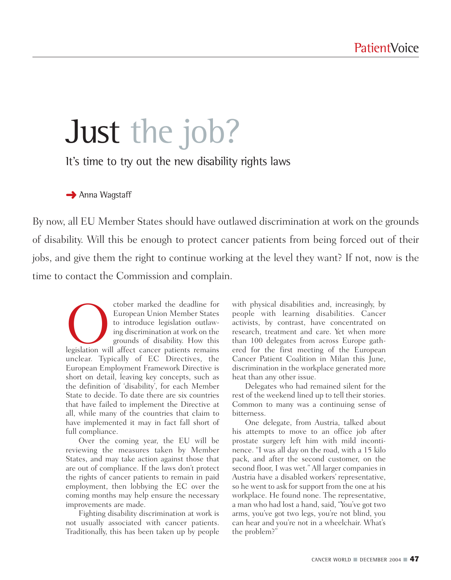# Just the job?

It's time to try out the new disability rights laws

**→ Anna Wagstaff** 

By now, all EU Member States should have outlawed discrimination at work on the grounds of disability. Will this be enough to protect cancer patients from being forced out of their jobs, and give them the right to continue working at the level they want? If not, now is the time to contact the Commission and complain.

Cober marked the deadline for<br>
European Union Member States<br>
to introduce legislation outlaw-<br>
ing discrimination at work on the<br>
grounds of disability. How this<br>
legislation will affect cancer patients remains European Union Member States to introduce legislation outlawing discrimination at work on the grounds of disability. How this unclear. Typically of EC Directives, the European Employment Framework Directive is short on detail, leaving key concepts, such as the definition of 'disability', for each Member State to decide. To date there are six countries that have failed to implement the Directive at all, while many of the countries that claim to have implemented it may in fact fall short of full compliance.

Over the coming year, the EU will be reviewing the measures taken by Member States, and may take action against those that are out of compliance. If the laws don't protect the rights of cancer patients to remain in paid employment, then lobbying the EC over the coming months may help ensure the necessary improvements are made.

Fighting disability discrimination at work is not usually associated with cancer patients. Traditionally, this has been taken up by people with physical disabilities and, increasingly, by people with learning disabilities. Cancer activists, by contrast, have concentrated on research, treatment and care. Yet when more than 100 delegates from across Europe gathered for the first meeting of the European Cancer Patient Coalition in Milan this June, discrimination in the workplace generated more heat than any other issue.

Delegates who had remained silent for the rest of the weekend lined up to tell their stories. Common to many was a continuing sense of bitterness.

One delegate, from Austria, talked about his attempts to move to an office job after prostate surgery left him with mild incontinence. "I was all day on the road, with a 15 kilo pack, and after the second customer, on the second floor, I was wet." All larger companies in Austria have a disabled workers' representative, so he went to ask for support from the one at his workplace. He found none. The representative, a man who had lost a hand, said, "You've got two arms, you've got two legs, you're not blind, you can hear and you're not in a wheelchair. What's the problem?"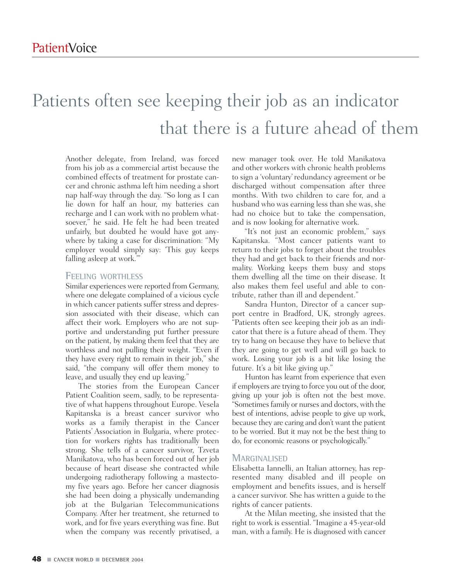## Patients often see keeping their job as an indicator that there is a future ahead of them

Another delegate, from Ireland, was forced from his job as a commercial artist because the combined effects of treatment for prostate cancer and chronic asthma left him needing a short nap half-way through the day. "So long as I can lie down for half an hour, my batteries can recharge and I can work with no problem whatsoever," he said. He felt he had been treated unfairly, but doubted he would have got anywhere by taking a case for discrimination: "My employer would simply say: 'This guy keeps falling asleep at work."

#### **FEELING WORTHLESS**

Similar experiences were reported from Germany, where one delegate complained of a vicious cycle in which cancer patients suffer stress and depression associated with their disease, which can affect their work. Employers who are not supportive and understanding put further pressure on the patient, by making them feel that they are worthless and not pulling their weight. "Even if they have every right to remain in their job," she said, "the company will offer them money to leave, and usually they end up leaving."

The stories from the European Cancer Patient Coalition seem, sadly, to be representative of what happens throughout Europe. Vesela Kapitanska is a breast cancer survivor who works as a family therapist in the Cancer Patients' Association in Bulgaria, where protection for workers rights has traditionally been strong. She tells of a cancer survivor, Tzveta Manikatova, who has been forced out of her job because of heart disease she contracted while undergoing radiotherapy following a mastectomy five years ago. Before her cancer diagnosis she had been doing a physically undemanding job at the Bulgarian Telecommunications Company. After her treatment, she returned to work, and for five years everything was fine. But when the company was recently privatised, a new manager took over. He told Manikatova and other workers with chronic health problems to sign a 'voluntary' redundancy agreement or be discharged without compensation after three months. With two children to care for, and a husband who was earning less than she was, she had no choice but to take the compensation, and is now looking for alternative work.

"It's not just an economic problem," says Kapitanska. "Most cancer patients want to return to their jobs to forget about the troubles they had and get back to their friends and normality. Working keeps them busy and stops them dwelling all the time on their disease. It also makes them feel useful and able to contribute, rather than ill and dependent."

Sandra Hunton, Director of a cancer support centre in Bradford, UK, strongly agrees. "Patients often see keeping their job as an indicator that there is a future ahead of them. They try to hang on because they have to believe that they are going to get well and will go back to work. Losing your job is a bit like losing the future. It's a bit like giving up."

Hunton has learnt from experience that even if employers are trying to force you out of the door, giving up your job is often not the best move. "Sometimes family or nurses and doctors, with the best of intentions, advise people to give up work, because they are caring and don't want the patient to be worried. But it may not be the best thing to do, for economic reasons or psychologically."

#### **MARGINALISED**

Elisabetta Iannelli, an Italian attorney, has represented many disabled and ill people on employment and benefits issues, and is herself a cancer survivor. She has written a guide to the rights of cancer patients.

At the Milan meeting, she insisted that the right to work is essential. "Imagine a 45-year-old man, with a family. He is diagnosed with cancer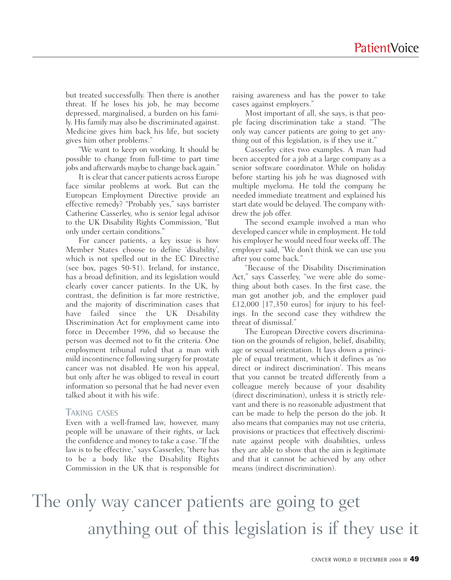but treated successfully. Then there is another threat. If he loses his job, he may become depressed, marginalised, a burden on his family. His family may also be discriminated against. Medicine gives him back his life, but society gives him other problems."

"We want to keep on working. It should be possible to change from full-time to part time jobs and afterwards maybe to change back again."

It is clear that cancer patients across Europe face similar problems at work. But can the European Employment Directive provide an effective remedy? "Probably yes," says barrister Catherine Casserley, who is senior legal advisor to the UK Disability Rights Commission, "But only under certain conditions."

For cancer patients, a key issue is how Member States choose to define 'disability', which is not spelled out in the EC Directive (see box, pages 50-51). Ireland, for instance, has a broad definition, and its legislation would clearly cover cancer patients. In the UK, by contrast, the definition is far more restrictive, and the majority of discrimination cases that have failed since the UK Disability Discrimination Act for employment came into force in December 1996, did so because the person was deemed not to fit the criteria. One employment tribunal ruled that a man with mild incontinence following surgery for prostate cancer was not disabled. He won his appeal, but only after he was obliged to reveal in court information so personal that he had never even talked about it with his wife.

#### **TAKING CASES**

Even with a well-framed law, however, many people will be unaware of their rights, or lack the confidence and money to take a case. "If the law is to be effective," says Casserley, "there has to be a body like the Disability Rights Commission in the UK that is responsible for raising awareness and has the power to take cases against employers."

Most important of all, she says, is that people facing discrimination take a stand. "The only way cancer patients are going to get anything out of this legislation, is if they use it."

Casserley cites two examples. A man had been accepted for a job at a large company as a senior software coordinator. While on holiday before starting his job he was diagnosed with multiple myeloma. He told the company he needed immediate treatment and explained his start date would be delayed. The company withdrew the job offer.

The second example involved a man who developed cancer while in employment. He told his employer he would need four weeks off. The employer said, "We don't think we can use you after you come back."

"Because of the Disability Discrimination Act," says Casserley, "we were able do something about both cases. In the first case, the man got another job, and the employer paid £12,000 [17,350 euros] for injury to his feelings. In the second case they withdrew the threat of dismissal."

The European Directive covers discrimination on the grounds of religion, belief, disability, age or sexual orientation. It lays down a principle of equal treatment, which it defines as 'no direct or indirect discrimination'. This means that you cannot be treated differently from a colleague merely because of your disability (direct discrimination), unless it is strictly relevant and there is no reasonable adjustment that can be made to help the person do the job. It also means that companies may not use criteria, provisions or practices that effectively discriminate against people with disabilities, unless they are able to show that the aim is legitimate and that it cannot be achieved by any other means (indirect discrimination).

## The only way cancer patients are going to get anything out of this legislation is if they use it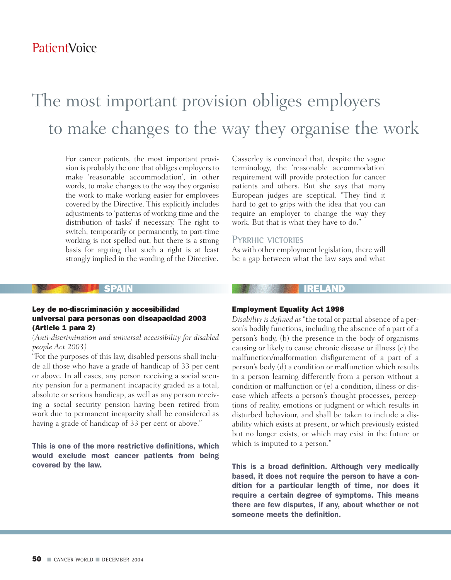## The most important provision obliges employers to make changes to the way they organise the work

For cancer patients, the most important provision is probably the one that obliges employers to make 'reasonable accommodation', in other words, to make changes to the way they organise the work to make working easier for employees covered by the Directive. This explicitly includes adjustments to 'patterns of working time and the distribution of tasks' if necessary. The right to switch, temporarily or permanently, to part-time working is not spelled out, but there is a strong basis for arguing that such a right is at least strongly implied in the wording of the Directive.

Casserley is convinced that, despite the vague terminology, the 'reasonable accommodation' requirement will provide protection for cancer patients and others. But she says that many European judges are sceptical. "They find it hard to get to grips with the idea that you can require an employer to change the way they work. But that is what they have to do."

#### **PYRRHIC VICTORIES**

As with other employment legislation, there will be a gap between what the law says and what

#### Ley de no-discriminación y accesibilidad universal para personas con discapacidad 2003 (Article 1 para 2)

#### *(Anti-discrimination and universal accessibility for disabled people Act 2003)*

"For the purposes of this law, disabled persons shall include all those who have a grade of handicap of 33 per cent or above. In all cases, any person receiving a social security pension for a permanent incapacity graded as a total, absolute or serious handicap, as well as any person receiving a social security pension having been retired from work due to permanent incapacity shall be considered as having a grade of handicap of 33 per cent or above."

#### This is one of the more restrictive definitions, which would exclude most cancer patients from being covered by the law.

### SPAIN **IRELAND**

#### Employment Equality Act 1998

*Disability is defined as* "the total or partial absence of a person's bodily functions, including the absence of a part of a person's body, (b) the presence in the body of organisms causing or likely to cause chronic disease or illness (c) the malfunction/malformation disfigurement of a part of a person's body (d) a condition or malfunction which results in a person learning differently from a person without a condition or malfunction or (e) a condition, illness or disease which affects a person's thought processes, perceptions of reality, emotions or judgment or which results in disturbed behaviour, and shall be taken to include a disability which exists at present, or which previously existed but no longer exists, or which may exist in the future or which is imputed to a person."

This is a broad definition. Although very medically based, it does not require the person to have a condition for a particular length of time, nor does it require a certain degree of symptoms. This means there are few disputes, if any, about whether or not someone meets the definition.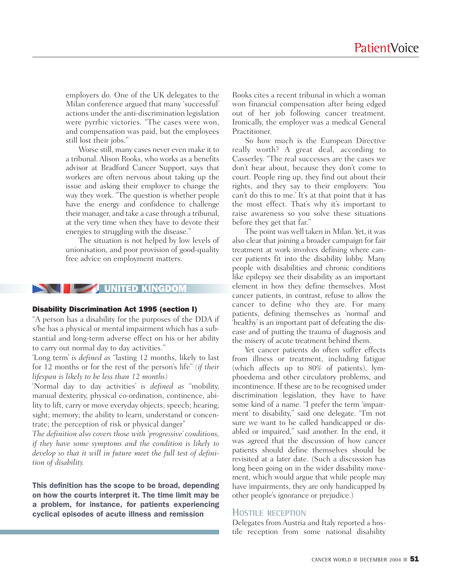employers do. One of the UK delegates to the Milan conference argued that many 'successful' actions under the anti-discrimination legislation were pyrrhic victories. "The cases were won, and compensation was paid, but the employees still lost their jobs."

Worse still, many cases never even make it to a tribunal. Alison Rooks, who works as a benefits advisor at Bradford Cancer Support, says that workers are often nervous about taking up the issue and asking their employer to change the way they work. "The question is whether people have the energy and confidence to challenge their manager, and take a case through a tribunal, at the very time when they have to devote their energies to struggling with the disease."

The situation is not helped by low levels of unionisation, and poor provision of good-quality free advice on employment matters.

#### **UNITED**

#### Disability Discrimination Act 1995 (section I)

"A person has a disability for the purposes of the DDA if s/he has a physical or mental impairment which has a substantial and long-term adverse effect on his or her ability to carry out normal day to day activities."

'Long term' *is defined as* "lasting 12 months, likely to last for 12 months or for the rest of the person's life" *(if their lifespan is likely to be less than 12 months)*

'Normal day to day activities' *is defined as* "mobility, manual dexterity, physical co-ordination, continence, ability to lift, carry or move everyday objects; speech; hearing; sight; memory; the ability to learn, understand or concentrate; the perception of risk or physical danger"

*The definition also covers those with 'progressive' conditions, if they have some symptoms and the condition is likely to develop so that it will in future meet the full test of definition of disability.*

This definition has the scope to be broad, depending on how the courts interpret it. The time limit may be a problem, for instance, for patients experiencing cyclical episodes of acute illness and remission

Rooks cites a recent tribunal in which a woman won financial compensation after being edged out of her job following cancer treatment. Ironically, the employer was a medical General Practitioner.

So how much is the European Directive really worth? A great deal, according to Casserley. "The real successes are the cases we don't hear about, because they don't come to court. People ring up, they find out about their rights, and they say to their employers: 'You can't do this to me.' It's at that point that it has the most effect. That's why it's important to raise awareness so you solve these situations before they get that far."

The point was well taken in Milan. Yet, it was also clear that joining a broader campaign for fair treatment at work involves defining where cancer patients fit into the disability lobby. Many people with disabilities and chronic conditions like epilepsy see their disability as an important element in how they define themselves. Most cancer patients, in contrast, refuse to allow the cancer to define who they are. For many patients, defining themselves as 'normal' and 'healthy' is an important part of defeating the disease and of putting the trauma of diagnosis and the misery of acute treatment behind them.

Yet cancer patients do often suffer effects from illness or treatment, including fatigue (which affects up to 80% of patients), lymphoedema and other circulatory problems, and incontinence. If these are to be recognised under discrimination legislation, they have to have some kind of a name. "I prefer the term 'impairment' to disability," said one delegate. "I'm not sure we want to be called handicapped or disabled or impaired," said another. In the end, it was agreed that the discussion of how cancer patients should define themselves should be revisited at a later date. (Such a discussion has long been going on in the wider disability movement, which would argue that while people may have impairments, they are only handicapped by other people's ignorance or prejudice.)

#### **HOSTILE RECEPTION**

Delegates from Austria and Italy reported a hostile reception from some national disability